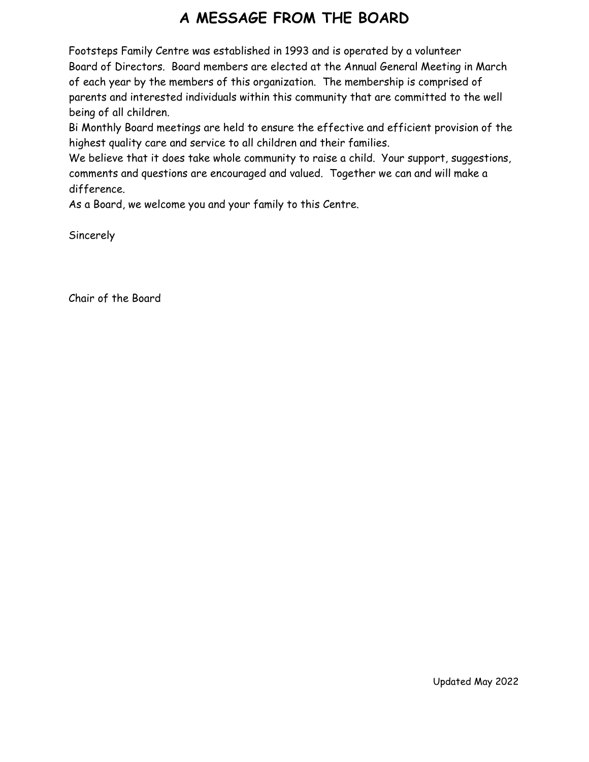# **A MESSAGE FROM THE BOARD**

Footsteps Family Centre was established in 1993 and is operated by a volunteer Board of Directors. Board members are elected at the Annual General Meeting in March of each year by the members of this organization. The membership is comprised of parents and interested individuals within this community that are committed to the well being of all children.

Bi Monthly Board meetings are held to ensure the effective and efficient provision of the highest quality care and service to all children and their families.

We believe that it does take whole community to raise a child. Your support, suggestions, comments and questions are encouraged and valued. Together we can and will make a difference.

As a Board, we welcome you and your family to this Centre.

**Sincerely** 

Chair of the Board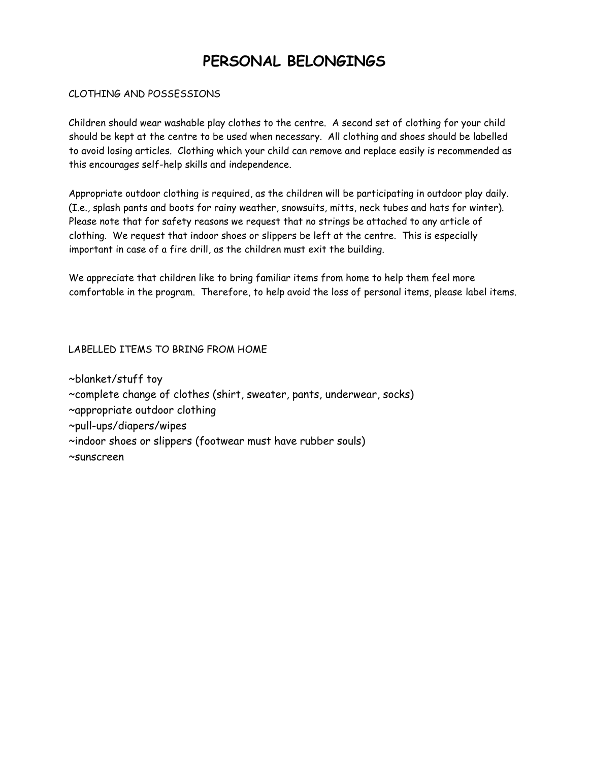# **PERSONAL BELONGINGS**

### CLOTHING AND POSSESSIONS

Children should wear washable play clothes to the centre. A second set of clothing for your child should be kept at the centre to be used when necessary. All clothing and shoes should be labelled to avoid losing articles. Clothing which your child can remove and replace easily is recommended as this encourages self-help skills and independence.

Appropriate outdoor clothing is required, as the children will be participating in outdoor play daily. (I.e., splash pants and boots for rainy weather, snowsuits, mitts, neck tubes and hats for winter). Please note that for safety reasons we request that no strings be attached to any article of clothing. We request that indoor shoes or slippers be left at the centre. This is especially important in case of a fire drill, as the children must exit the building.

We appreciate that children like to bring familiar items from home to help them feel more comfortable in the program. Therefore, to help avoid the loss of personal items, please label items.

### LABELLED ITEMS TO BRING FROM HOME

~blanket/stuff toy ~complete change of clothes (shirt, sweater, pants, underwear, socks) ~appropriate outdoor clothing ~pull-ups/diapers/wipes ~indoor shoes or slippers (footwear must have rubber souls) ~sunscreen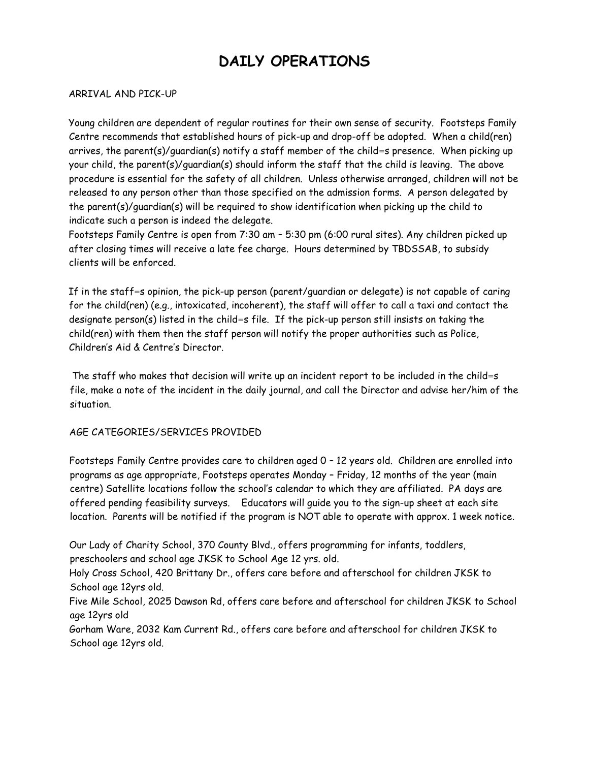# **DAILY OPERATIONS**

#### ARRIVAL AND PICK-UP

Young children are dependent of regular routines for their own sense of security. Footsteps Family Centre recommends that established hours of pick-up and drop-off be adopted. When a child(ren) arrives, the parent(s)/guardian(s) notify a staff member of the child=s presence. When picking up your child, the parent(s)/guardian(s) should inform the staff that the child is leaving. The above procedure is essential for the safety of all children. Unless otherwise arranged, children will not be released to any person other than those specified on the admission forms. A person delegated by the parent(s)/guardian(s) will be required to show identification when picking up the child to indicate such a person is indeed the delegate.

Footsteps Family Centre is open from 7:30 am – 5:30 pm (6:00 rural sites). Any children picked up after closing times will receive a late fee charge. Hours determined by TBDSSAB, to subsidy clients will be enforced.

If in the staff=s opinion, the pick-up person (parent/guardian or delegate) is not capable of caring for the child(ren) (e.g., intoxicated, incoherent), the staff will offer to call a taxi and contact the designate person(s) listed in the child=s file. If the pick-up person still insists on taking the child(ren) with them then the staff person will notify the proper authorities such as Police, Children's Aid & Centre's Director.

The staff who makes that decision will write up an incident report to be included in the child=s file, make a note of the incident in the daily journal, and call the Director and advise her/him of the situation.

### AGE CATEGORIES/SERVICES PROVIDED

Footsteps Family Centre provides care to children aged 0 – 12 years old. Children are enrolled into programs as age appropriate, Footsteps operates Monday – Friday, 12 months of the year (main centre) Satellite locations follow the school's calendar to which they are affiliated. PA days are offered pending feasibility surveys. Educators will guide you to the sign-up sheet at each site location. Parents will be notified if the program is NOT able to operate with approx. 1 week notice.

Our Lady of Charity School, 370 County Blvd., offers programming for infants, toddlers, preschoolers and school age JKSK to School Age 12 yrs. old.

Holy Cross School, 420 Brittany Dr., offers care before and afterschool for children JKSK to School age 12yrs old.

Five Mile School, 2025 Dawson Rd, offers care before and afterschool for children JKSK to School age 12yrs old

Gorham Ware, 2032 Kam Current Rd., offers care before and afterschool for children JKSK to School age 12yrs old.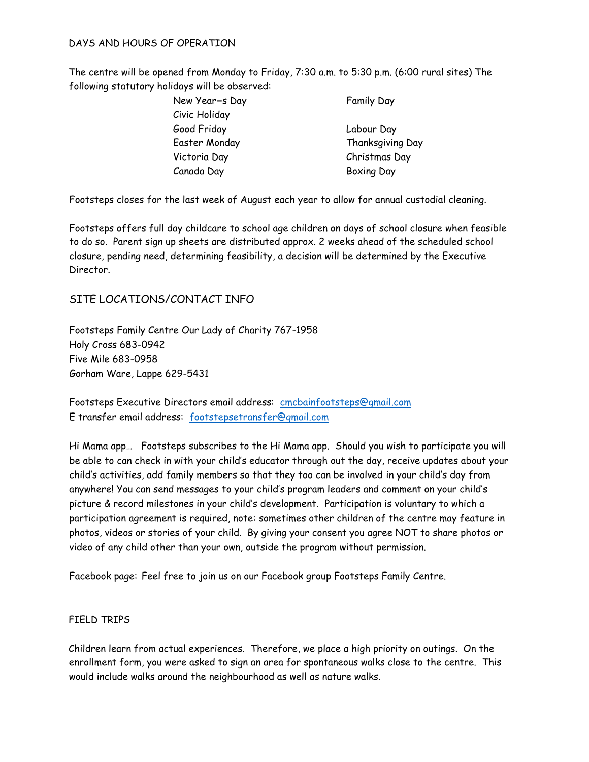### DAYS AND HOURS OF OPERATION

The centre will be opened from Monday to Friday, 7:30 a.m. to 5:30 p.m. (6:00 rural sites) The following statutory holidays will be observed:

- New Year=s Day Family Day Civic Holiday Good Friday Labour Day Easter Monday Thanksgiving Day Victoria Day Christmas Day Canada Day Boxing Day
	-

Footsteps closes for the last week of August each year to allow for annual custodial cleaning.

Footsteps offers full day childcare to school age children on days of school closure when feasible to do so. Parent sign up sheets are distributed approx. 2 weeks ahead of the scheduled school closure, pending need, determining feasibility, a decision will be determined by the Executive Director.

### SITE LOCATIONS/CONTACT INFO

Footsteps Family Centre Our Lady of Charity 767-1958 Holy Cross 683-0942 Five Mile 683-0958 Gorham Ware, Lappe 629-5431

Footsteps Executive Directors email address: [cmcbainfootsteps@gmail.com](mailto:cmcbainfootsteps@gmail.com) E transfer email address: [footstepsetransfer@gmail.com](mailto:footstepsetransfer@gmail.com)

Hi Mama app… Footsteps subscribes to the Hi Mama app. Should you wish to participate you will be able to can check in with your child's educator through out the day, receive updates about your child's activities, add family members so that they too can be involved in your child's day from anywhere! You can send messages to your child's program leaders and comment on your child's picture & record milestones in your child's development. Participation is voluntary to which a participation agreement is required, note: sometimes other children of the centre may feature in photos, videos or stories of your child. By giving your consent you agree NOT to share photos or video of any child other than your own, outside the program without permission.

Facebook page: Feel free to join us on our Facebook group Footsteps Family Centre.

### FIELD TRIPS

Children learn from actual experiences. Therefore, we place a high priority on outings. On the enrollment form, you were asked to sign an area for spontaneous walks close to the centre. This would include walks around the neighbourhood as well as nature walks.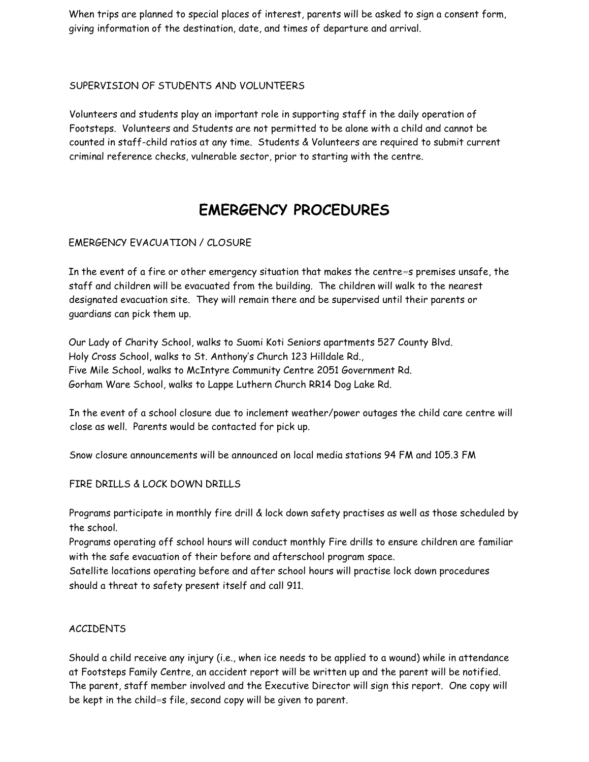When trips are planned to special places of interest, parents will be asked to sign a consent form, giving information of the destination, date, and times of departure and arrival.

### SUPERVISION OF STUDENTS AND VOLUNTEERS

Volunteers and students play an important role in supporting staff in the daily operation of Footsteps. Volunteers and Students are not permitted to be alone with a child and cannot be counted in staff-child ratios at any time. Students & Volunteers are required to submit current criminal reference checks, vulnerable sector, prior to starting with the centre.

## **EMERGENCY PROCEDURES**

### EMERGENCY EVACUATION / CLOSURE

In the event of a fire or other emergency situation that makes the centre=s premises unsafe, the staff and children will be evacuated from the building. The children will walk to the nearest designated evacuation site. They will remain there and be supervised until their parents or guardians can pick them up.

Our Lady of Charity School, walks to Suomi Koti Seniors apartments 527 County Blvd. Holy Cross School, walks to St. Anthony's Church 123 Hilldale Rd., Five Mile School, walks to McIntyre Community Centre 2051 Government Rd. Gorham Ware School, walks to Lappe Luthern Church RR14 Dog Lake Rd.

In the event of a school closure due to inclement weather/power outages the child care centre will close as well. Parents would be contacted for pick up.

Snow closure announcements will be announced on local media stations 94 FM and 105.3 FM

### FIRE DRILLS & LOCK DOWN DRILLS

Programs participate in monthly fire drill & lock down safety practises as well as those scheduled by the school.

Programs operating off school hours will conduct monthly Fire drills to ensure children are familiar with the safe evacuation of their before and afterschool program space.

Satellite locations operating before and after school hours will practise lock down procedures should a threat to safety present itself and call 911.

### ACCIDENTS

Should a child receive any injury (i.e., when ice needs to be applied to a wound) while in attendance at Footsteps Family Centre, an accident report will be written up and the parent will be notified. The parent, staff member involved and the Executive Director will sign this report. One copy will be kept in the child=s file, second copy will be given to parent.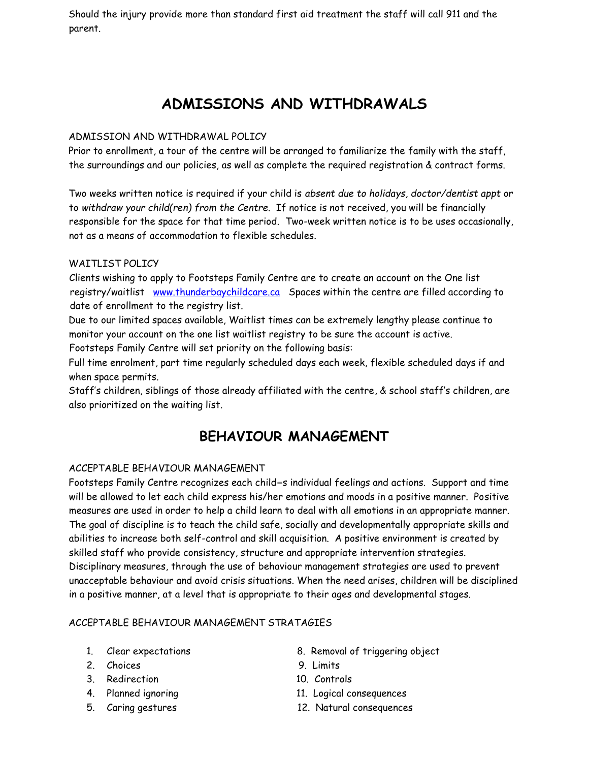Should the injury provide more than standard first aid treatment the staff will call 911 and the parent.

# **ADMISSIONS AND WITHDRAWALS**

### ADMISSION AND WITHDRAWAL POLICY

Prior to enrollment, a tour of the centre will be arranged to familiarize the family with the staff, the surroundings and our policies, as well as complete the required registration & contract forms.

Two weeks written notice is required if your child is *absent due to holidays, doctor/dentist appt* or to *withdraw your child(ren) from the Centre*. If notice is not received, you will be financially responsible for the space for that time period. Two-week written notice is to be uses occasionally, not as a means of accommodation to flexible schedules.

### WAITLIST POLICY

Clients wishing to apply to Footsteps Family Centre are to create an account on the One list registry/waitlist [www.thunderbaychildcare.ca](http://www.thunderbaychildcare.ca/) Spaces within the centre are filled according to date of enrollment to the registry list.

Due to our limited spaces available, Waitlist times can be extremely lengthy please continue to monitor your account on the one list waitlist registry to be sure the account is active.

Footsteps Family Centre will set priority on the following basis:

Full time enrolment, part time regularly scheduled days each week, flexible scheduled days if and when space permits.

Staff's children, siblings of those already affiliated with the centre, & school staff's children, are also prioritized on the waiting list.

### **BEHAVIOUR MANAGEMENT**

### ACCEPTABLE BEHAVIOUR MANAGEMENT

Footsteps Family Centre recognizes each child=s individual feelings and actions. Support and time will be allowed to let each child express his/her emotions and moods in a positive manner. Positive measures are used in order to help a child learn to deal with all emotions in an appropriate manner. The goal of discipline is to teach the child safe, socially and developmentally appropriate skills and abilities to increase both self-control and skill acquisition. A positive environment is created by skilled staff who provide consistency, structure and appropriate intervention strategies. Disciplinary measures, through the use of behaviour management strategies are used to prevent unacceptable behaviour and avoid crisis situations. When the need arises, children will be disciplined in a positive manner, at a level that is appropriate to their ages and developmental stages.

### ACCEPTABLE BEHAVIOUR MANAGEMENT STRATAGIES

- 
- 2. Choices 9. Limits
- 3. Redirection 10. Controls
- 
- 
- 1. Clear expectations 8. Removal of triggering object
	-
	-
- 4. Planned ignoring 11. Logical consequences
- 5. Caring gestures 12. Natural consequences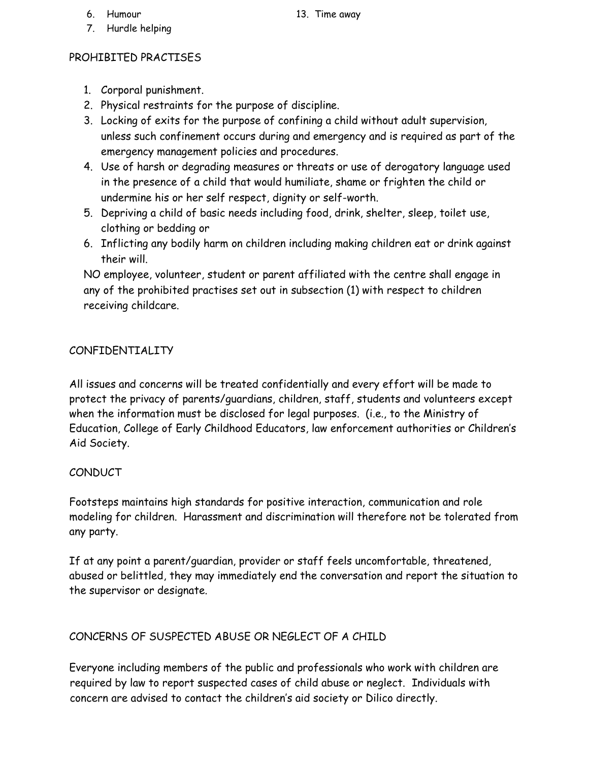- 
- 7. Hurdle helping

### PROHIBITED PRACTISES

- 1. Corporal punishment.
- 2. Physical restraints for the purpose of discipline.
- 3. Locking of exits for the purpose of confining a child without adult supervision, unless such confinement occurs during and emergency and is required as part of the emergency management policies and procedures.
- 4. Use of harsh or degrading measures or threats or use of derogatory language used in the presence of a child that would humiliate, shame or frighten the child or undermine his or her self respect, dignity or self-worth.
- 5. Depriving a child of basic needs including food, drink, shelter, sleep, toilet use, clothing or bedding or
- 6. Inflicting any bodily harm on children including making children eat or drink against their will.

NO employee, volunteer, student or parent affiliated with the centre shall engage in any of the prohibited practises set out in subsection (1) with respect to children receiving childcare.

### CONFIDENTIALITY

All issues and concerns will be treated confidentially and every effort will be made to protect the privacy of parents/guardians, children, staff, students and volunteers except when the information must be disclosed for legal purposes. (i.e., to the Ministry of Education, College of Early Childhood Educators, law enforcement authorities or Children's Aid Society.

### CONDUCT

Footsteps maintains high standards for positive interaction, communication and role modeling for children. Harassment and discrimination will therefore not be tolerated from any party.

If at any point a parent/guardian, provider or staff feels uncomfortable, threatened, abused or belittled, they may immediately end the conversation and report the situation to the supervisor or designate.

### CONCERNS OF SUSPECTED ABUSE OR NEGLECT OF A CHILD

Everyone including members of the public and professionals who work with children are required by law to report suspected cases of child abuse or neglect. Individuals with concern are advised to contact the children's aid society or Dilico directly.

6. Humour 13. Time away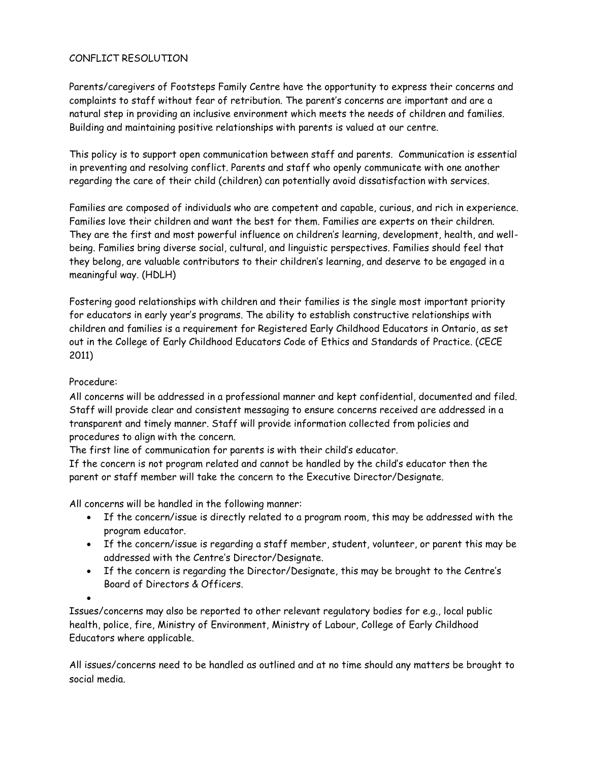### CONFLICT RESOLUTION

Parents/caregivers of Footsteps Family Centre have the opportunity to express their concerns and complaints to staff without fear of retribution. The parent's concerns are important and are a natural step in providing an inclusive environment which meets the needs of children and families. Building and maintaining positive relationships with parents is valued at our centre.

This policy is to support open communication between staff and parents. Communication is essential in preventing and resolving conflict. Parents and staff who openly communicate with one another regarding the care of their child (children) can potentially avoid dissatisfaction with services.

Families are composed of individuals who are competent and capable, curious, and rich in experience. Families love their children and want the best for them. Families are experts on their children. They are the first and most powerful influence on children's learning, development, health, and wellbeing. Families bring diverse social, cultural, and linguistic perspectives. Families should feel that they belong, are valuable contributors to their children's learning, and deserve to be engaged in a meaningful way. (HDLH)

Fostering good relationships with children and their families is the single most important priority for educators in early year's programs. The ability to establish constructive relationships with children and families is a requirement for Registered Early Childhood Educators in Ontario, as set out in the College of Early Childhood Educators Code of Ethics and Standards of Practice. (CECE 2011)

### Procedure:

All concerns will be addressed in a professional manner and kept confidential, documented and filed. Staff will provide clear and consistent messaging to ensure concerns received are addressed in a transparent and timely manner. Staff will provide information collected from policies and procedures to align with the concern.

The first line of communication for parents is with their child's educator.

If the concern is not program related and cannot be handled by the child's educator then the parent or staff member will take the concern to the Executive Director/Designate.

All concerns will be handled in the following manner:

- If the concern/issue is directly related to a program room, this may be addressed with the program educator.
- If the concern/issue is regarding a staff member, student, volunteer, or parent this may be addressed with the Centre's Director/Designate.
- If the concern is regarding the Director/Designate, this may be brought to the Centre's Board of Directors & Officers.

•

Issues/concerns may also be reported to other relevant regulatory bodies for e.g., local public health, police, fire, Ministry of Environment, Ministry of Labour, College of Early Childhood Educators where applicable.

All issues/concerns need to be handled as outlined and at no time should any matters be brought to social media.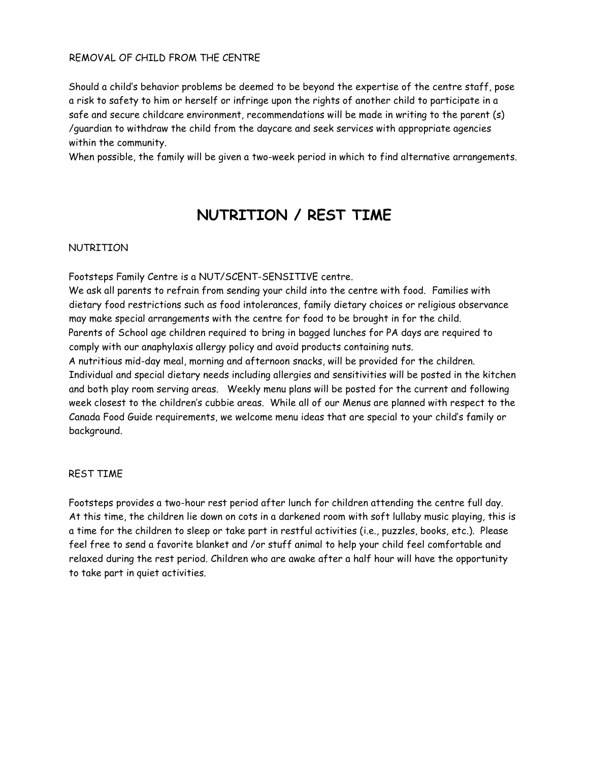### REMOVAL OF CHILD FROM THE CENTRE

Should a child's behavior problems be deemed to be beyond the expertise of the centre staff, pose a risk to safety to him or herself or infringe upon the rights of another child to participate in a safe and secure childcare environment, recommendations will be made in writing to the parent (s) /guardian to withdraw the child from the daycare and seek services with appropriate agencies within the community.

When possible, the family will be given a two-week period in which to find alternative arrangements.

## **NUTRITION / REST TIME**

### NUTRITION

Footsteps Family Centre is a NUT/SCENT-SENSITIVE centre.

We ask all parents to refrain from sending your child into the centre with food. Families with dietary food restrictions such as food intolerances, family dietary choices or religious observance may make special arrangements with the centre for food to be brought in for the child. Parents of School age children required to bring in bagged lunches for PA days are required to comply with our anaphylaxis allergy policy and avoid products containing nuts. A nutritious mid-day meal, morning and afternoon snacks, will be provided for the children. Individual and special dietary needs including allergies and sensitivities will be posted in the kitchen and both play room serving areas. Weekly menu plans will be posted for the current and following week closest to the children's cubbie areas. While all of our Menus are planned with respect to the Canada Food Guide requirements, we welcome menu ideas that are special to your child's family or background.

### REST TIME

Footsteps provides a two-hour rest period after lunch for children attending the centre full day. At this time, the children lie down on cots in a darkened room with soft lullaby music playing, this is a time for the children to sleep or take part in restful activities (i.e., puzzles, books, etc.). Please feel free to send a favorite blanket and /or stuff animal to help your child feel comfortable and relaxed during the rest period. Children who are awake after a half hour will have the opportunity to take part in quiet activities.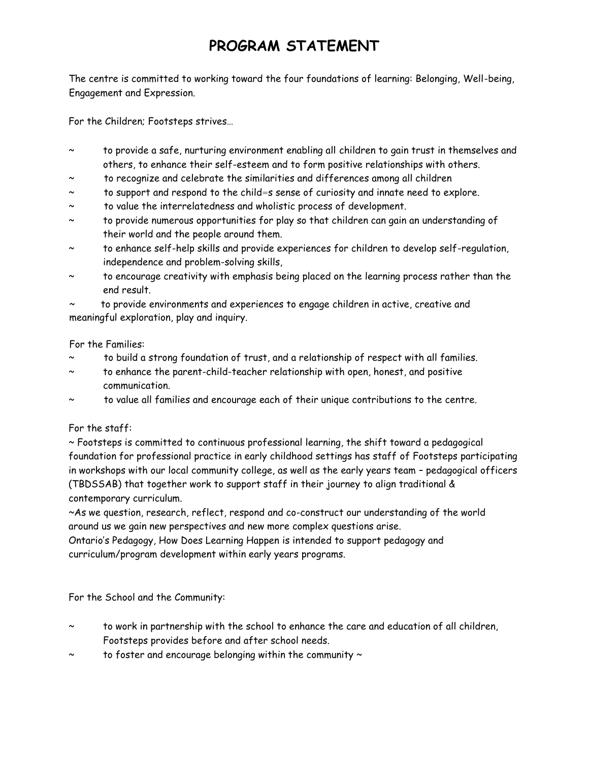# **PROGRAM STATEMENT**

The centre is committed to working toward the four foundations of learning: Belonging, Well-being, Engagement and Expression.

For the Children; Footsteps strives…

- to provide a safe, nurturing environment enabling all children to gain trust in themselves and others, to enhance their self-esteem and to form positive relationships with others.
- to recognize and celebrate the similarities and differences among all children
- to support and respond to the child=s sense of curiosity and innate need to explore.
- ~ to value the interrelatedness and wholistic process of development.
- to provide numerous opportunities for play so that children can gain an understanding of their world and the people around them.
- to enhance self-help skills and provide experiences for children to develop self-regulation, independence and problem-solving skills,
- to encourage creativity with emphasis being placed on the learning process rather than the end result.

to provide environments and experiences to engage children in active, creative and meaningful exploration, play and inquiry.

For the Families:

- to build a strong foundation of trust, and a relationship of respect with all families.
- to enhance the parent-child-teacher relationship with open, honest, and positive communication.
- to value all families and encourage each of their unique contributions to the centre.

### For the staff:

~ Footsteps is committed to continuous professional learning, the shift toward a pedagogical foundation for professional practice in early childhood settings has staff of Footsteps participating in workshops with our local community college, as well as the early years team – pedagogical officers (TBDSSAB) that together work to support staff in their journey to align traditional & contemporary curriculum.

~As we question, research, reflect, respond and co-construct our understanding of the world around us we gain new perspectives and new more complex questions arise.

Ontario's Pedagogy, How Does Learning Happen is intended to support pedagogy and curriculum/program development within early years programs.

For the School and the Community:

- to work in partnership with the school to enhance the care and education of all children, Footsteps provides before and after school needs.
- to foster and encourage belonging within the community  $\sim$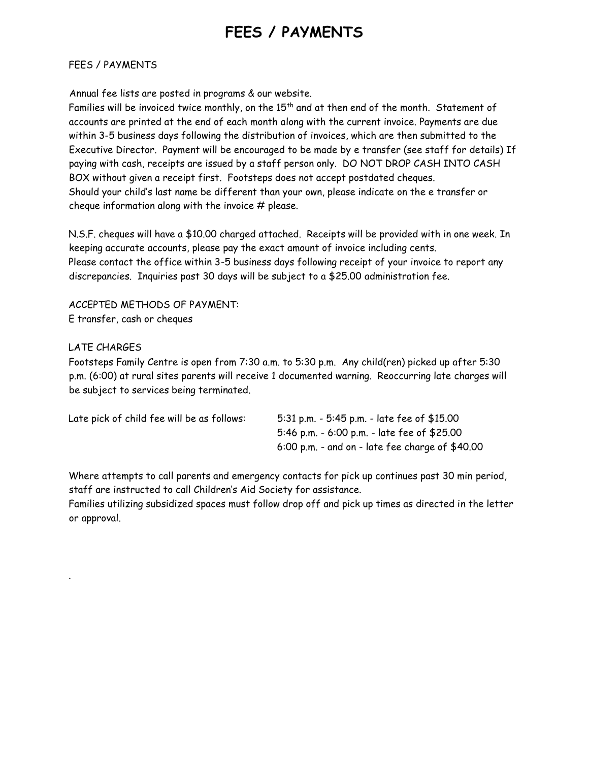# **FEES / PAYMENTS**

### FEES / PAYMENTS

Annual fee lists are posted in programs & our website.

Families will be invoiced twice monthly, on the  $15<sup>th</sup>$  and at then end of the month. Statement of accounts are printed at the end of each month along with the current invoice. Payments are due within 3-5 business days following the distribution of invoices, which are then submitted to the Executive Director. Payment will be encouraged to be made by e transfer (see staff for details) If paying with cash, receipts are issued by a staff person only. DO NOT DROP CASH INTO CASH BOX without given a receipt first. Footsteps does not accept postdated cheques. Should your child's last name be different than your own, please indicate on the e transfer or cheque information along with the invoice  $#$  please.

N.S.F. cheques will have a \$10.00 charged attached. Receipts will be provided with in one week. In keeping accurate accounts, please pay the exact amount of invoice including cents. Please contact the office within 3-5 business days following receipt of your invoice to report any discrepancies. Inquiries past 30 days will be subject to a \$25.00 administration fee.

ACCEPTED METHODS OF PAYMENT: E transfer, cash or cheques

### LATE CHARGES

.

Footsteps Family Centre is open from 7:30 a.m. to 5:30 p.m. Any child(ren) picked up after 5:30 p.m. (6:00) at rural sites parents will receive 1 documented warning. Reoccurring late charges will be subject to services being terminated.

| Late pick of child fee will be as follows: | 5:31 p.m. - 5:45 p.m. - late fee of \$15.00       |
|--------------------------------------------|---------------------------------------------------|
|                                            | 5:46 p.m. - 6:00 p.m. - late fee of \$25.00       |
|                                            | $6:00$ p.m. - and on - late fee charge of \$40.00 |

Where attempts to call parents and emergency contacts for pick up continues past 30 min period, staff are instructed to call Children's Aid Society for assistance.

Families utilizing subsidized spaces must follow drop off and pick up times as directed in the letter or approval.